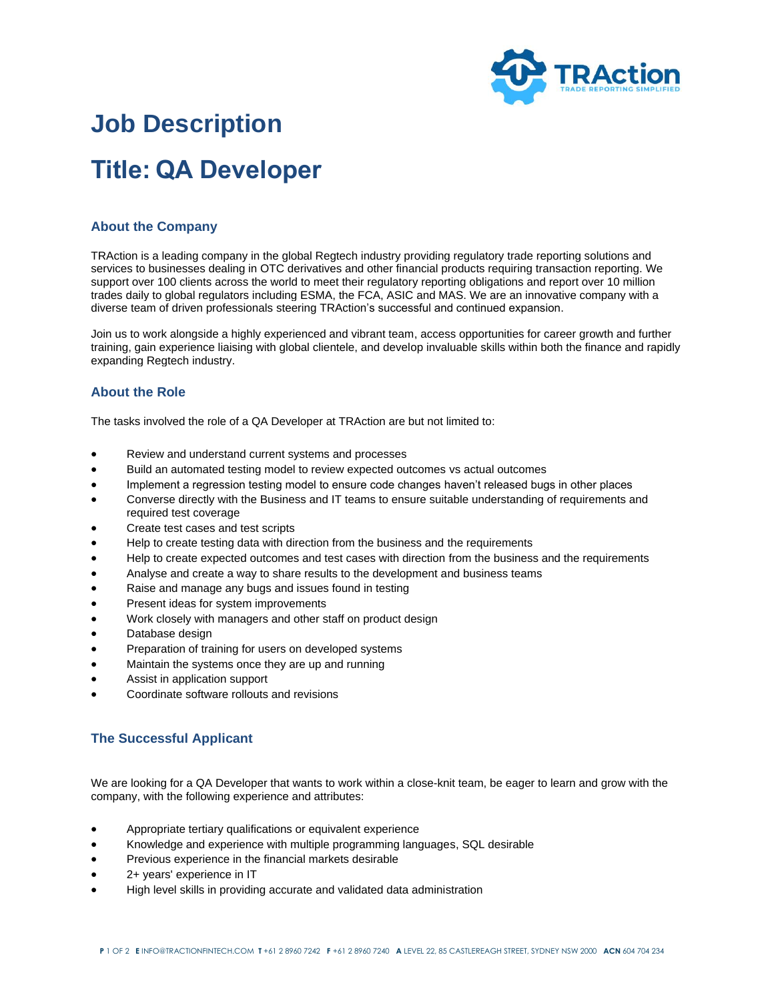

# **Job Description Title: QA Developer**

## **About the Company**

TRAction is a leading company in the global Regtech industry providing regulatory trade reporting solutions and services to businesses dealing in OTC derivatives and other financial products requiring transaction reporting. We support over 100 clients across the world to meet their regulatory reporting obligations and report over 10 million trades daily to global regulators including ESMA, the FCA, ASIC and MAS. We are an innovative company with a diverse team of driven professionals steering TRAction's successful and continued expansion.

Join us to work alongside a highly experienced and vibrant team, access opportunities for career growth and further training, gain experience liaising with global clientele, and develop invaluable skills within both the finance and rapidly expanding Regtech industry.

## **About the Role**

The tasks involved the role of a QA Developer at TRAction are but not limited to:

- Review and understand current systems and processes
- Build an automated testing model to review expected outcomes vs actual outcomes
- Implement a regression testing model to ensure code changes haven't released bugs in other places
- Converse directly with the Business and IT teams to ensure suitable understanding of requirements and required test coverage
- Create test cases and test scripts
- Help to create testing data with direction from the business and the requirements
- Help to create expected outcomes and test cases with direction from the business and the requirements
- Analyse and create a way to share results to the development and business teams
- Raise and manage any bugs and issues found in testing
- Present ideas for system improvements
- Work closely with managers and other staff on product design
- Database design
- Preparation of training for users on developed systems
- Maintain the systems once they are up and running
- Assist in application support
- Coordinate software rollouts and revisions

### **The Successful Applicant**

We are looking for a QA Developer that wants to work within a close-knit team, be eager to learn and grow with the company, with the following experience and attributes:

- Appropriate tertiary qualifications or equivalent experience
- Knowledge and experience with multiple programming languages, SQL desirable
- Previous experience in the financial markets desirable
- 2+ years' experience in IT
- High level skills in providing accurate and validated data administration